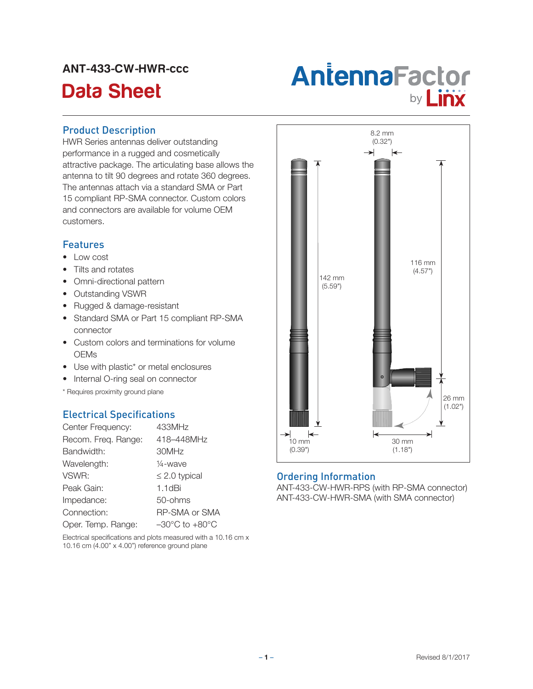# ANT-433-CW-HWR-ccc



## Product Description

HWR Series antennas deliver outstanding performance in a rugged and cosmetically attractive package. The articulating base allows the antenna to tilt 90 degrees and rotate 360 degrees. The antennas attach via a standard SMA or Part 15 compliant RP-SMA connector. Custom colors and connectors are available for volume OEM customers.

#### Features

- Low cost
- Tilts and rotates
- Omni-directional pattern
- Outstanding VSWR
- • Rugged & damage-resistant
- Standard SMA or Part 15 compliant RP-SMA connector
- Custom colors and terminations for volume **OEMs**
- Use with plastic\* or metal enclosures
- Internal O-ring seal on connector
- \* Requires proximity ground plane

## Electrical Specifications

| Center Frequency:   | 433MHz                             |
|---------------------|------------------------------------|
| Recom. Freq. Range: | 418-448MHz                         |
| Bandwidth:          | 30MHz                              |
| Wavelength:         | $\frac{1}{4}$ -wave                |
| VSWR:               | $\leq$ 2.0 typical                 |
| Peak Gain:          | $1.1$ d $Bi$                       |
| Impedance:          | 50-ohms                            |
| Connection:         | <b>RP-SMA or SMA</b>               |
| Oper. Temp. Range:  | $-30^{\circ}$ C to $+80^{\circ}$ C |

Electrical specifications and plots measured with a 10.16 cm x 10.16 cm (4.00" x 4.00") reference ground plane



#### Ordering Information

ANT-433-CW-HWR-RPS (with RP-SMA connector) ANT-433-CW-HWR-SMA (with SMA connector)